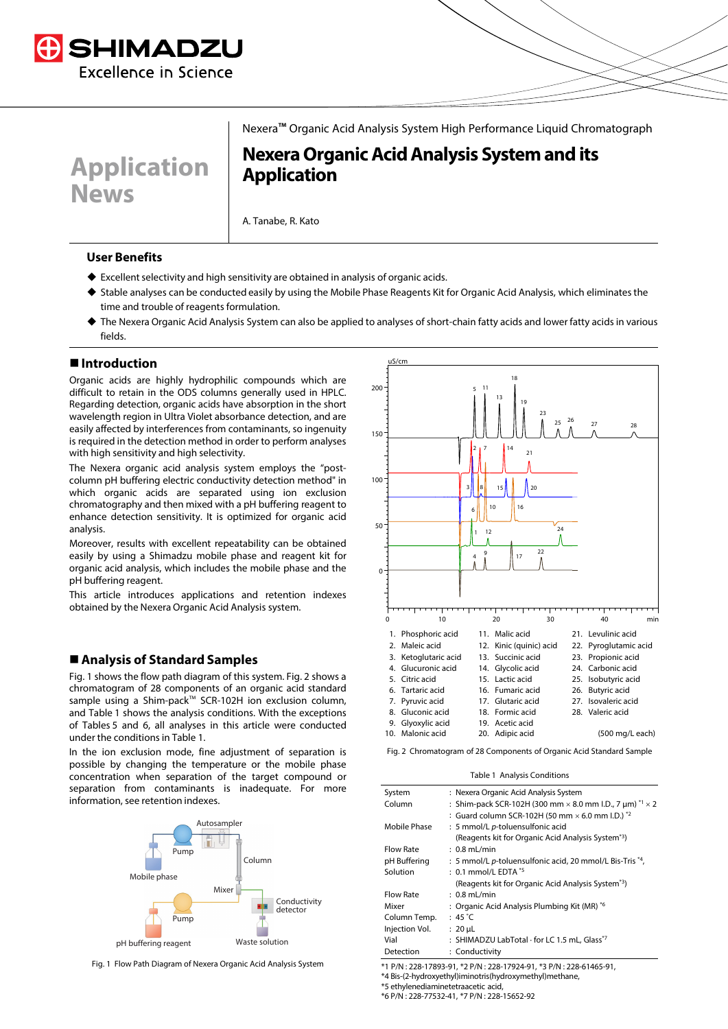

**Application News**

Nexera™ Organic Acid Analysis System High Performance Liquid Chromatograph

# **NexeraOrganic Acid Analysis System and its Application**

A. Tanabe, R. Kato

#### **User Benefits**

- ◆ Excellent selectivity and high sensitivity are obtained in analysis of organic acids.
- Stable analyses can be conducted easily by using the Mobile Phase Reagents Kit for Organic Acid Analysis, which eliminates the time and trouble of reagents formulation.
- The Nexera Organic Acid Analysis System can also be applied to analyses of short-chain fatty acids and lower fatty acids in various fields.

#### **Introduction**

Organic acids are highly hydrophilic compounds which are difficult to retain in the ODS columns generally used in HPLC. Regarding detection, organic acids have absorption in the short wavelength region in Ultra Violet absorbance detection, and are easily affected by interferences from contaminants, so ingenuity is required in the detection method in order to perform analyses with high sensitivity and high selectivity.

The Nexera organic acid analysis system employs the "postcolumn pH buffering electric conductivity detection method" in which organic acids are separated using ion exclusion chromatography and then mixed with a pH buffering reagent to enhance detection sensitivity. It is optimized for organic acid analysis.

Moreover, results with excellent repeatability can be obtained easily by using a Shimadzu mobile phase and reagent kit for organic acid analysis, which includes the mobile phase and the pH buffering reagent.

This article introduces applications and retention indexes obtained by the Nexera Organic Acid Analysis system.

### **Analysis of Standard Samples**

Fig. 1 shows the flow path diagram of this system. Fig. 2 shows a chromatogram of 28 components of an organic acid standard sample using a Shim-pack™ SCR-102H ion exclusion column, and Table 1 shows the analysis conditions. With the exceptions of Tables 5 and 6, all analyses in this article were conducted under the conditions in Table 1.

In the ion exclusion mode, fine adjustment of separation is possible by changing the temperature or the mobile phase concentration when separation of the target compound or separation from contaminants is inadequate. For more information, see retention indexes.



Fig. 1 Flow Path Diagram of Nexera Organic Acid Analysis System



Fig. 2 Chromatogram of 28 Components of Organic Acid Standard Sample

Table 1 Analysis Conditions

| System           | : Nexera Organic Acid Analysis System                                  |
|------------------|------------------------------------------------------------------------|
| Column           | : Shim-pack SCR-102H (300 mm $\times$ 8.0 mm I.D., 7 µm) $*1 \times 2$ |
|                  | : Guard column SCR-102H (50 mm $\times$ 6.0 mm I.D.) $*$ 2             |
| Mobile Phase     | : 5 mmol/L p-toluensulfonic acid                                       |
|                  | (Reagents kit for Organic Acid Analysis System <sup>*3</sup> )         |
| <b>Flow Rate</b> | $: 0.8$ mL/min                                                         |
| pH Buffering     | : 5 mmol/L p-toluensulfonic acid, 20 mmol/L Bis-Tris *4,               |
| Solution         | $: 0.1$ mmol/L EDTA $*$                                                |
|                  | (Reagents kit for Organic Acid Analysis System <sup>*3</sup> )         |
| <b>Flow Rate</b> | $: 0.8$ mL/min                                                         |
| Mixer            | : Organic Acid Analysis Plumbing Kit (MR) *6                           |
| Column Temp.     | : 45 $^{\circ}$ C                                                      |
| Injection Vol.   | $: 20 \mu L$                                                           |
| Vial             | : SHIMADZU LabTotal · for LC 1.5 mL, Glass*7                           |
| Detection        | : Conductivity                                                         |
|                  |                                                                        |

\*1 P/N : 228-17893-91, \*2 P/N : 228-17924-91, \*3 P/N : 228-61465-91,

\*4 Bis-(2-hydroxyethyl)iminotris(hydroxymethyl)methane,

\*5 ethylenediaminetetraacetic acid,

\*6 P/N : 228-77532-41, \*7 P/N : 228-15652-92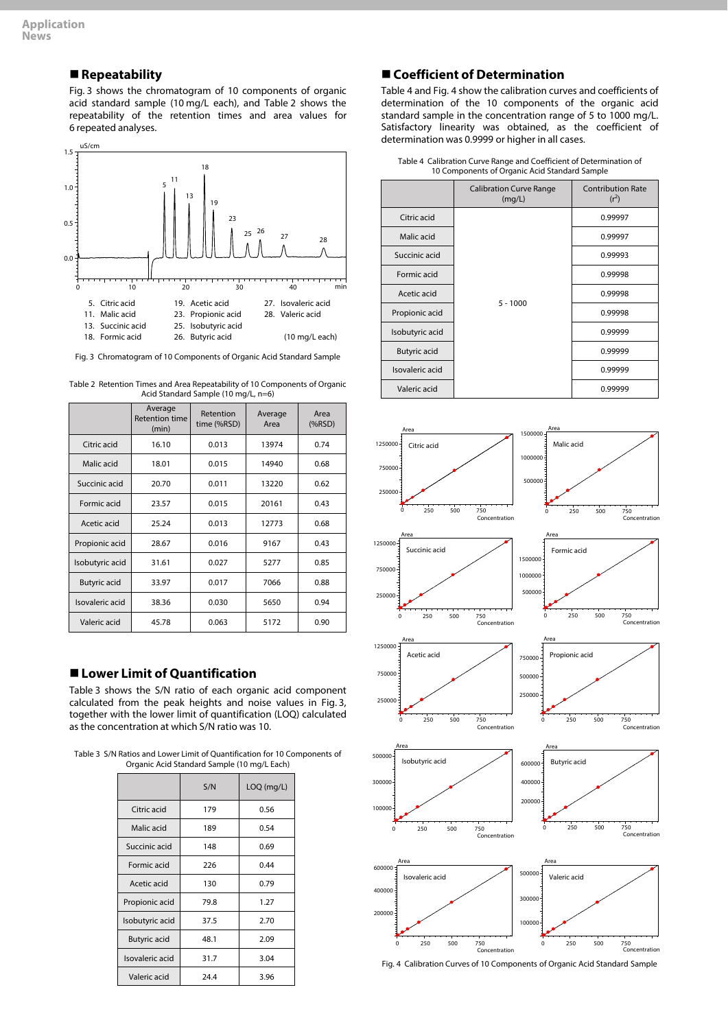# **Repeatability**

Fig. 3 shows the chromatogram of 10 components of organic acid standard sample (10 mg/L each), and Table 2 shows the repeatability of the retention times and area values for 6 repeated analyses.



Fig. 3 Chromatogram of 10 Components of Organic Acid Standard Sample

| Table 2 Retention Times and Area Repeatability of 10 Components of Organic |  |
|----------------------------------------------------------------------------|--|
| Acid Standard Sample (10 mg/L, n=6)                                        |  |

|                     | Average<br><b>Retention time</b><br>(min) | Retention<br>time (%RSD) | Average<br>Area | Area<br>(%RSD) |
|---------------------|-------------------------------------------|--------------------------|-----------------|----------------|
| Citric acid         | 16.10                                     | 0.013                    | 13974           | 0.74           |
| Malic acid          | 18.01                                     | 0.015                    | 14940           | 0.68           |
| Succinic acid       | 20.70                                     | 0.011                    | 13220           | 0.62           |
| Formic acid         | 23.57                                     | 0.015                    | 20161           | 0.43           |
| Acetic acid         | 25.24                                     | 0.013                    | 12773           | 0.68           |
| Propionic acid      | 28.67                                     | 0.016                    | 9167            | 0.43           |
| Isobutyric acid     | 31.61                                     | 0.027                    | 5277            | 0.85           |
| <b>Butyric acid</b> | 33.97                                     | 0.017                    | 7066            | 0.88           |
| Isovaleric acid     | 38.36                                     | 0.030                    | 5650            | 0.94           |
| Valeric acid        | 45.78                                     | 0.063                    | 5172            | 0.90           |

## **Lower Limit of Quantification**

Table 3 shows the S/N ratio of each organic acid component calculated from the peak heights and noise values in Fig. 3, together with the lower limit of quantification (LOQ) calculated as the concentration at which S/N ratio was 10.

Table 3 S/N Ratios and Lower Limit of Quantification for 10 Components of Organic Acid Standard Sample (10 mg/L Each)

|                     | S/N  | LOQ (mg/L) |
|---------------------|------|------------|
| Citric acid         | 179  | 0.56       |
| Malic acid          | 189  | 0.54       |
| Succinic acid       | 148  | 0.69       |
| Formic acid         | 226  | 0.44       |
| Acetic acid         | 130  | 0.79       |
| Propionic acid      | 79.8 | 1.27       |
| Isobutyric acid     | 37.5 | 2.70       |
| <b>Butyric acid</b> | 48.1 | 2.09       |
| Isovaleric acid     | 31.7 | 3.04       |
| Valeric acid        | 24.4 | 3.96       |

# **Coefficient of Determination**

Table 4 and Fig. 4 show the calibration curves and coefficients of determination of the 10 components of the organic acid standard sample in the concentration range of 5 to 1000 mg/L. Satisfactory linearity was obtained, as the coefficient of determination was 0.9999 or higher in all cases.

| Table 4 Calibration Curve Range and Coefficient of Determination of |
|---------------------------------------------------------------------|
| 10 Components of Organic Acid Standard Sample                       |

|                     | <b>Calibration Curve Range</b><br>(mq/L) | <b>Contribution Rate</b><br>$(r^2)$ |
|---------------------|------------------------------------------|-------------------------------------|
| Citric acid         | $5 - 1000$                               | 0.99997                             |
| Malic acid          |                                          | 0.99997                             |
| Succinic acid       |                                          | 0.99993                             |
| Formic acid         |                                          | 0.99998                             |
| Acetic acid         |                                          | 0.99998                             |
| Propionic acid      |                                          | 0.99998                             |
| Isobutyric acid     |                                          | 0.99999                             |
| <b>Butyric acid</b> |                                          | 0.99999                             |
| Isovaleric acid     | 0.99999                                  |                                     |
| Valeric acid        |                                          | 0.99999                             |



Fig. 4 Calibration Curves of 10 Components of Organic Acid Standard Sample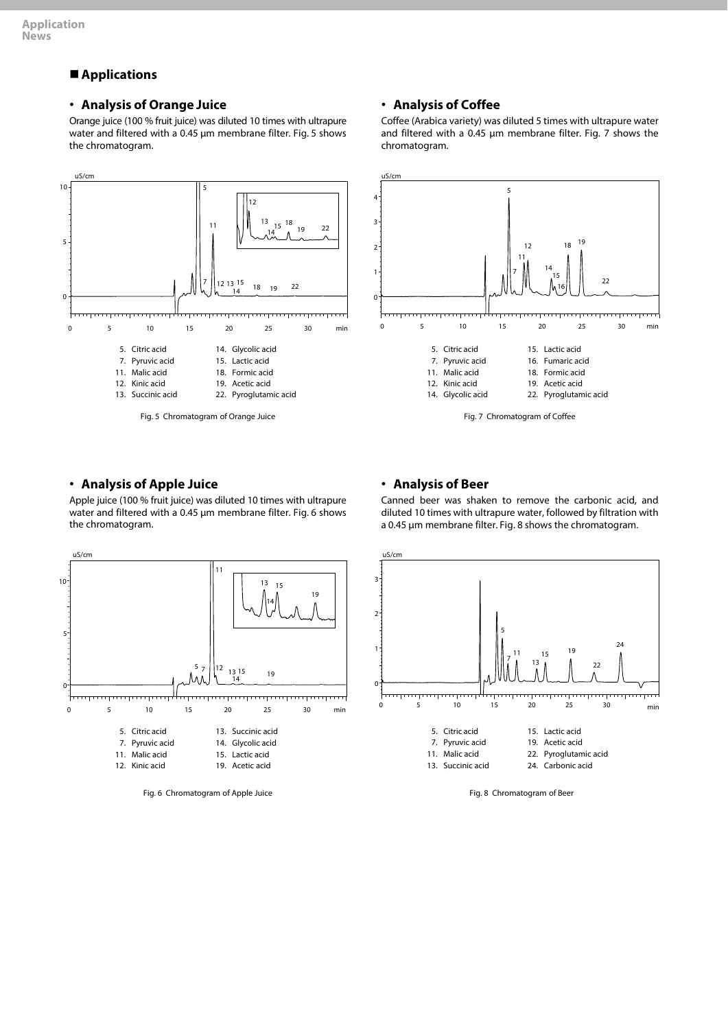# **Applications**

### • **Analysis of Orange Juice**

Orange juice (100 % fruit juice) was diluted 10 times with ultrapure water and filtered with a 0.45 μm membrane filter. Fig. 5 shows the chromatogram.



### • **Analysis of Coffee**

Coffee (Arabica variety) was diluted 5 times with ultrapure water and filtered with a 0.45 μm membrane filter. Fig. 7 shows the chromatogram.



#### • **Analysis of Apple Juice**

Apple juice (100 % fruit juice) was diluted 10 times with ultrapure water and filtered with a 0.45 μm membrane filter. Fig. 6 shows the chromatogram.



Fig. 6 Chromatogram of Apple Juice

#### • **Analysis of Beer**

Canned beer was shaken to remove the carbonic acid, and diluted 10 times with ultrapure water, followed by filtration with a 0.45 μm membrane filter. Fig. 8 shows the chromatogram.



Fig. 8 Chromatogram of Beer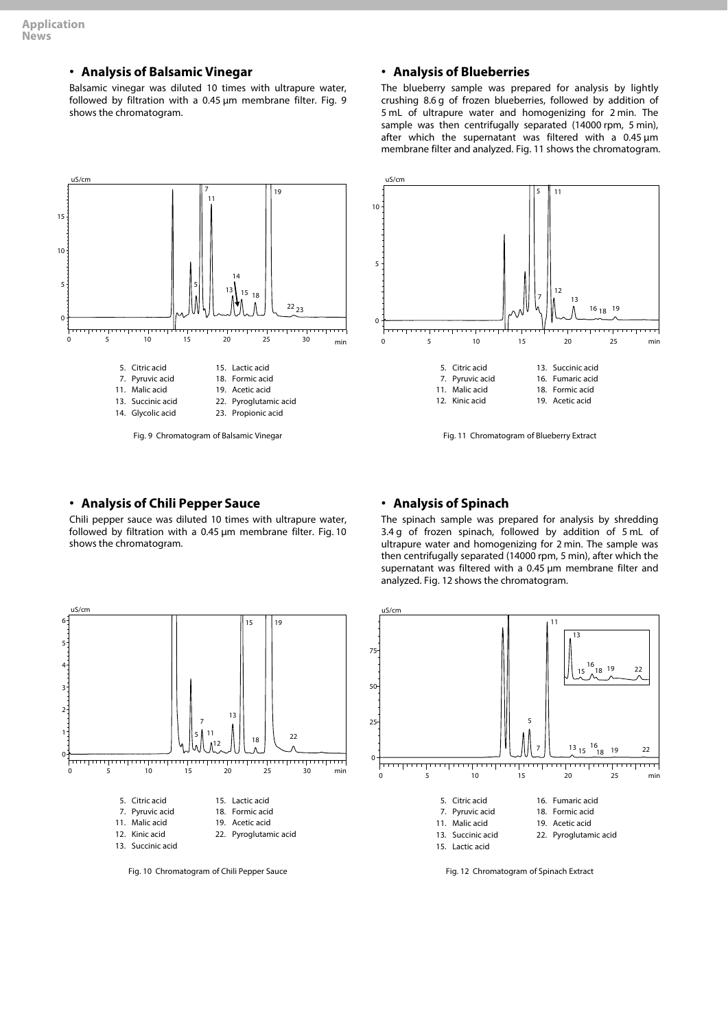# • **Analysis of Balsamic Vinegar**

Balsamic vinegar was diluted 10 times with ultrapure water, followed by filtration with a 0.45 μm membrane filter. Fig. 9 shows the chromatogram.

# • **Analysis of Blueberries**

The blueberry sample was prepared for analysis by lightly crushing 8.6 g of frozen blueberries, followed by addition of 5 mL of ultrapure water and homogenizing for 2 min. The sample was then centrifugally separated (14000 rpm, 5 min), after which the supernatant was filtered with a 0.45 μm membrane filter and analyzed. Fig. 11 shows the chromatogram.



### • **Analysis of Chili Pepper Sauce**

Chili pepper sauce was diluted 10 times with ultrapure water, followed by filtration with a 0.45 μm membrane filter. Fig. 10 shows the chromatogram.



Fig. 10 Chromatogram of Chili Pepper Sauce



#### • **Analysis of Spinach**

The spinach sample was prepared for analysis by shredding 3.4 g of frozen spinach, followed by addition of 5 mL of ultrapure water and homogenizing for 2 min. The sample was then centrifugally separated (14000 rpm, 5 min), after which the supernatant was filtered with a 0.45 μm membrane filter and analyzed. Fig. 12 shows the chromatogram.



Fig. 12 Chromatogram of Spinach Extract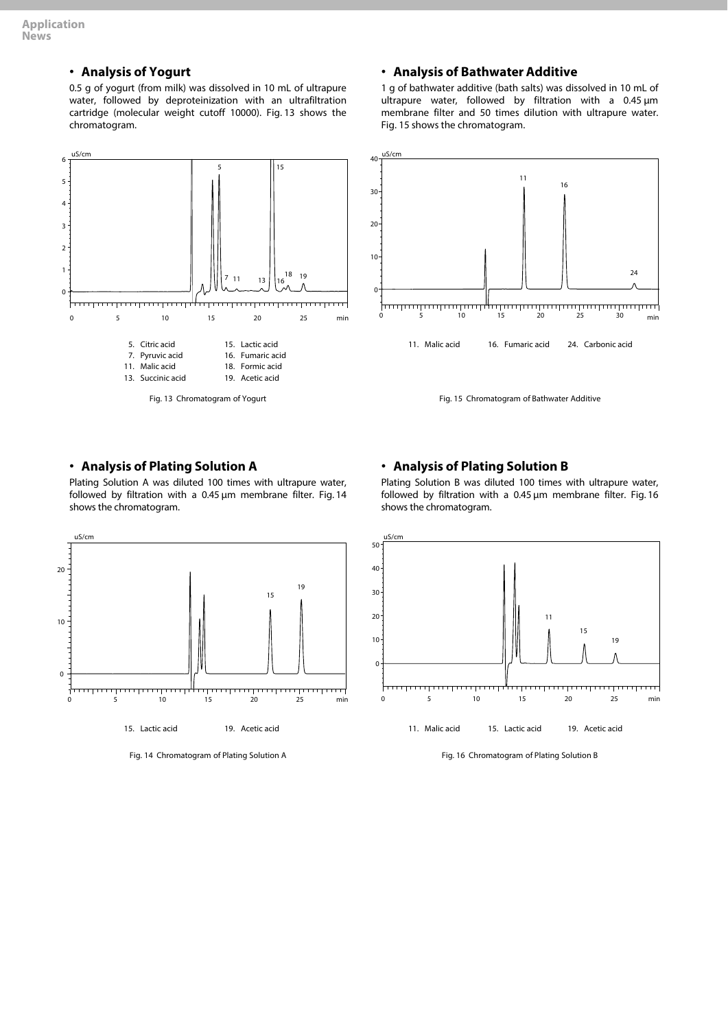# • **Analysis of Yogurt**

0.5 g of yogurt (from milk) was dissolved in 10 mL of ultrapure water, followed by deproteinization with an ultrafiltration cartridge (molecular weight cutoff 10000). Fig. 13 shows the chromatogram.



# • **Analysis of BathwaterAdditive**

1 g of bathwater additive (bath salts) was dissolved in 10 mL of ultrapure water, followed by filtration with a 0.45 μm membrane filter and 50 times dilution with ultrapure water. Fig. 15 shows the chromatogram.





### • **Analysis of Plating Solution A**

Plating Solution A was diluted 100 times with ultrapure water, followed by filtration with a 0.45 μm membrane filter. Fig. 14 shows the chromatogram.



Fig. 14 Chromatogram of Plating Solution A

### • **Analysis of Plating Solution B**

Plating Solution B was diluted 100 times with ultrapure water, followed by filtration with a 0.45 μm membrane filter. Fig. 16 shows the chromatogram.



Fig. 16 Chromatogram of Plating Solution B